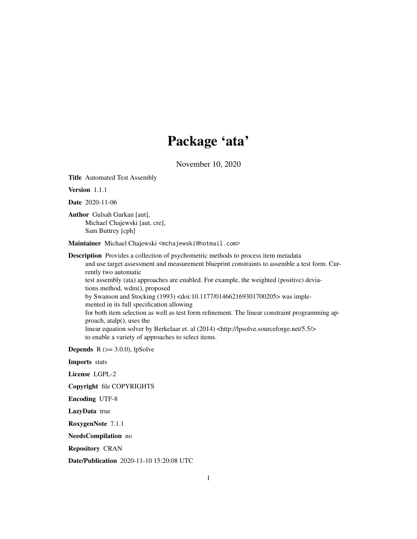# Package 'ata'

November 10, 2020

Title Automated Test Assembly

Version 1.1.1

Date 2020-11-06

Author Gulsah Gurkan [aut], Michael Chajewski [aut, cre], Sam Buttrey [cph]

Maintainer Michael Chajewski <mchajewski@hotmail.com>

Description Provides a collection of psychometric methods to process item metadata and use target assessment and measurement blueprint constraints to assemble a test form. Currently two automatic test assembly (ata) approaches are enabled. For example, the weighted (positive) deviations method, wdm(), proposed by Swanson and Stocking (1993) <doi:10.1177/014662169301700205> was implemented in its full specification allowing for both item selection as well as test form refinement. The linear constraint programming approach, atalp(), uses the linear equation solver by Berkelaar et. al (2014) <http://lpsolve.sourceforge.net/5.5/> to enable a variety of approaches to select items.

**Depends**  $R$  ( $>= 3.0.0$ ), lpSolve

Imports stats

License LGPL-2

Copyright file COPYRIGHTS

Encoding UTF-8

LazyData true

RoxygenNote 7.1.1

NeedsCompilation no

Repository CRAN

Date/Publication 2020-11-10 15:20:08 UTC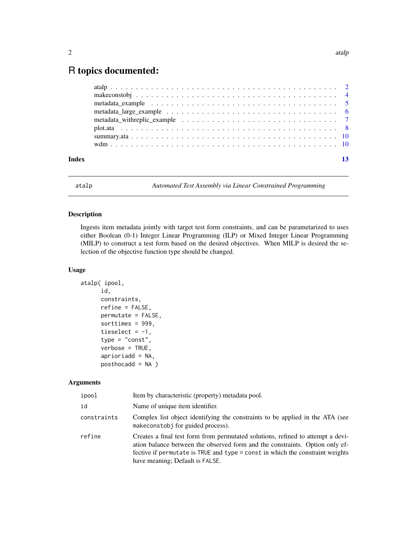# <span id="page-1-0"></span>R topics documented:

| Index | 13 |
|-------|----|

atalp *Automated Test Assembly via Linear Constrained Programming*

## Description

Ingests item metadata jointly with target test form constraints, and can be parametarized to uses either Boolean (0-1) Integer Linear Programming (ILP) or Mixed Integer Linear Programming (MILP) to construct a test form based on the desired objectives. When MILP is desired the selection of the objective function type should be changed.

### Usage

```
atalp( ipool,
      id,
      constraints,
      refine = FALSE,
      permutate = FALSE,
      sorttimes = 999,
      tieselect = -1,
      type = "const",
      verbose = TRUE,
      aprioriadd = NA,
      posthocadd = NA )
```
#### Arguments

| ipool       | Item by characteristic (property) metadata pool.                                                                                                                                                                                                                                    |
|-------------|-------------------------------------------------------------------------------------------------------------------------------------------------------------------------------------------------------------------------------------------------------------------------------------|
| id          | Name of unique item identifier.                                                                                                                                                                                                                                                     |
| constraints | Complex list object identifying the constraints to be applied in the ATA (see<br>makeconstobi for guided process).                                                                                                                                                                  |
| refine      | Creates a final test form from permutated solutions, refined to attempt a devi-<br>ation balance between the observed form and the constraints. Option only ef-<br>fective if permutate is TRUE and type = const in which the constraint weights<br>have meaning; Default is FALSE. |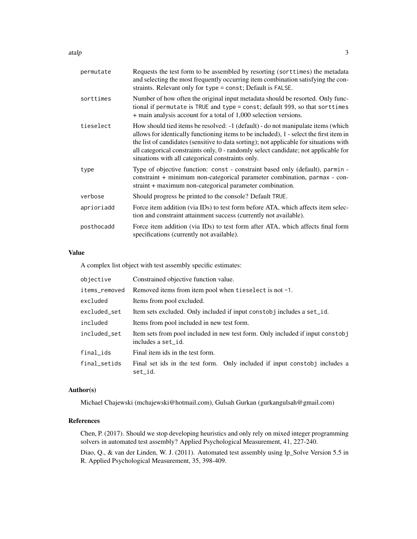atalp 3

| permutate  | Requests the test form to be assembled by resorting (sorttimes) the metadata<br>and selecting the most frequently occurring item combination satisfying the con-<br>straints. Relevant only for type = const; Default is FALSE.                                                                                                                                                                                  |
|------------|------------------------------------------------------------------------------------------------------------------------------------------------------------------------------------------------------------------------------------------------------------------------------------------------------------------------------------------------------------------------------------------------------------------|
| sorttimes  | Number of how often the original input metadata should be resorted. Only func-<br>tional if permutate is TRUE and type = const; default 999, so that sorttimes<br>+ main analysis account for a total of 1,000 selection versions.                                                                                                                                                                               |
| tieselect  | How should tied items be resolved: -1 (default) - do not manipulate items (which<br>allows for identically functioning items to be included), 1 - select the first item in<br>the list of candidates (sensitive to data sorting); not applicable for situations with<br>all categorical constraints only, 0 - randomly select candidate; not applicable for<br>situations with all categorical constraints only. |
| type       | Type of objective function: const - constraint based only (default), parmin -<br>constraint + minimum non-categorical parameter combination, parmax - con-<br>straint + maximum non-categorical parameter combination.                                                                                                                                                                                           |
| verbose    | Should progress be printed to the console? Default TRUE.                                                                                                                                                                                                                                                                                                                                                         |
| aprioriadd | Force item addition (via IDs) to test form before ATA, which affects item selec-<br>tion and constraint attainment success (currently not available).                                                                                                                                                                                                                                                            |
| posthocadd | Force item addition (via IDs) to test form after ATA, which affects final form<br>specifications (currently not available).                                                                                                                                                                                                                                                                                      |
|            |                                                                                                                                                                                                                                                                                                                                                                                                                  |

### Value

A complex list object with test assembly specific estimates:

| objective     | Constrained objective function value.                                                                |
|---------------|------------------------------------------------------------------------------------------------------|
| items_removed | Removed items from item pool when tieselect is not -1.                                               |
| excluded      | Items from pool excluded.                                                                            |
| excluded_set  | Item sets excluded. Only included if input constobj includes a set_id.                               |
| included      | Items from pool included in new test form.                                                           |
| included set  | Item sets from pool included in new test form. Only included if input constobj<br>includes a set_id. |
| final_ids     | Final item ids in the test form.                                                                     |
| final_setids  | Final set ids in the test form. Only included if input constably includes a<br>set id.               |

# Author(s)

Michael Chajewski (mchajewski@hotmail.com), Gulsah Gurkan (gurkangulsah@gmail.com)

# References

Chen, P. (2017). Should we stop developing heuristics and only rely on mixed integer programming solvers in automated test assembly? Applied Psychological Measurement, 41, 227-240.

Diao, Q., & van der Linden, W. J. (2011). Automated test assembly using lp\_Solve Version 5.5 in R. Applied Psychological Measurement, 35, 398-409.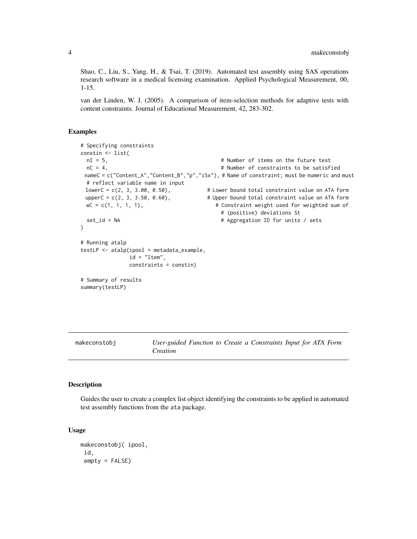<span id="page-3-0"></span>Shao, C., Liu, S., Yang, H., & Tsai, T. (2019). Automated test assembly using SAS operations research software in a medical licensing examination. Applied Psychological Measurement, 00, 1-15.

van der Linden, W. J. (2005). A comparison of item-selection methods for adaptive tests with content constraints. Journal of Educational Measurement, 42, 283-302.

#### Examples

```
# Specifying constraints
constin <- list(
 nI = 5, # Number of items on the future test
 nC = 4, \blacksquare + Number of constraints to be satisfied
 nameC = c("Content_A","Content_B","p","iSx"), # Name of constraint; must be numeric and must
 # reflect variable name in input
 lowerC = c(2, 3, 3.00, 0.50), # Lower bound total constraint value on ATA form
 upperC = c(2, 3, 3.50, 0.60), # Upper bound total constraint value on ATA form
 wC = c(1, 1, 1, 1), \qquad # Constraint weight used for weighted sum of
                                       # (positive) deviations St
 set_id = NA \# Aggregation ID for units / sets
)
# Running atalp
testLP <- atalp(ipool = metadata_example,
             id = "Item",constraints = constin)
# Summary of results
summary(testLP)
```
makeconstobj *User-guided Function to Create a Constraints Input for ATA Form Creation*

#### Description

Guides the user to create a complex list object identifying the constraints to be applied in automated test assembly functions from the ata package.

#### Usage

```
makeconstobj( ipool,
id,
empty = FALSE)
```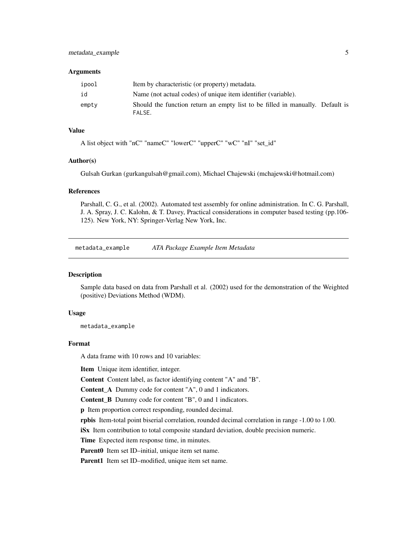#### <span id="page-4-0"></span>**Arguments**

| ipool | Item by characteristic (or property) metadata.                                          |
|-------|-----------------------------------------------------------------------------------------|
| id    | Name (not actual codes) of unique item identifier (variable).                           |
| empty | Should the function return an empty list to be filled in manually. Default is<br>FALSE. |

# Value

A list object with "nC" "nameC" "lowerC" "upperC" "wC" "nI" "set\_id"

#### Author(s)

Gulsah Gurkan (gurkangulsah@gmail.com), Michael Chajewski (mchajewski@hotmail.com)

#### References

Parshall, C. G., et al. (2002). Automated test assembly for online administration. In C. G. Parshall, J. A. Spray, J. C. Kalohn, & T. Davey, Practical considerations in computer based testing (pp.106- 125). New York, NY: Springer-Verlag New York, Inc.

metadata\_example *ATA Package Example Item Metadata*

#### Description

Sample data based on data from Parshall et al. (2002) used for the demonstration of the Weighted (positive) Deviations Method (WDM).

#### Usage

metadata\_example

#### Format

A data frame with 10 rows and 10 variables:

Item Unique item identifier, integer.

Content Content label, as factor identifying content "A" and "B".

Content\_A Dummy code for content "A", 0 and 1 indicators.

Content\_B Dummy code for content "B", 0 and 1 indicators.

p Item proportion correct responding, rounded decimal.

rpbis Item-total point biserial correlation, rounded decimal correlation in range -1.00 to 1.00.

iSx Item contribution to total composite standard deviation, double precision numeric.

Time Expected item response time, in minutes.

Parent0 Item set ID–initial, unique item set name.

Parent1 Item set ID–modified, unique item set name.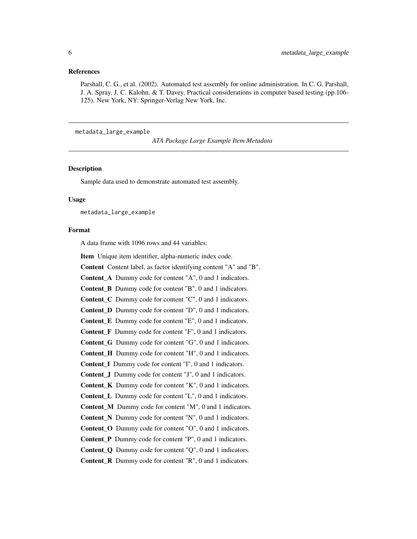#### <span id="page-5-0"></span>References

Parshall, C. G., et al. (2002). Automated test assembly for online administration. In C. G. Parshall, J. A. Spray, J. C. Kalohn, & T. Davey, Practical considerations in computer based testing (pp.106- 125). New York, NY: Springer-Verlag New York, Inc.

metadata\_large\_example

*ATA Package Large Example Item Metadata*

#### **Description**

Sample data used to demonstrate automated test assembly.

#### Usage

metadata\_large\_example

#### Format

A data frame with 1096 rows and 44 variables:

Item Unique item identifier, alpha-numeric index code.

Content Content label, as factor identifying content "A" and "B".

Content A Dummy code for content "A", 0 and 1 indicators.

Content B Dummy code for content "B", 0 and 1 indicators.

Content\_C Dummy code for content "C", 0 and 1 indicators.

Content\_D Dummy code for content "D", 0 and 1 indicators.

Content\_E Dummy code for content "E", 0 and 1 indicators.

Content\_F Dummy code for content "F", 0 and 1 indicators.

Content\_G Dummy code for content "G", 0 and 1 indicators.

Content H Dummy code for content "H", 0 and 1 indicators.

Content I Dummy code for content "I", 0 and 1 indicators.

Content\_J Dummy code for content "J", 0 and 1 indicators.

Content\_K Dummy code for content "K", 0 and 1 indicators.

Content\_L Dummy code for content "L", 0 and 1 indicators.

Content\_M Dummy code for content "M", 0 and 1 indicators.

Content\_N Dummy code for content "N", 0 and 1 indicators.

Content\_O Dummy code for content "O", 0 and 1 indicators.

Content P Dummy code for content "P", 0 and 1 indicators.

Content Q Dummy code for content "Q", 0 and 1 indicators.

Content\_R Dummy code for content "R", 0 and 1 indicators.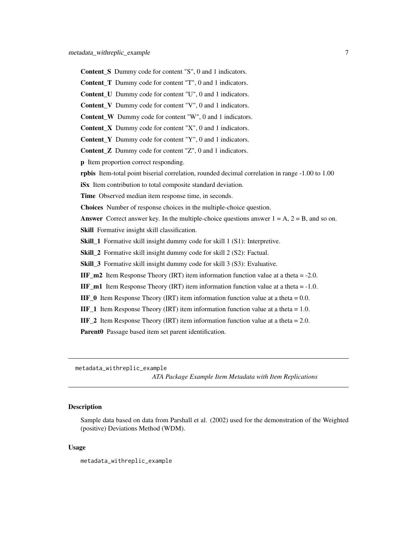- <span id="page-6-0"></span>Content\_S Dummy code for content "S", 0 and 1 indicators.
- Content\_T Dummy code for content "T", 0 and 1 indicators.
- Content U Dummy code for content "U", 0 and 1 indicators.
- Content V Dummy code for content "V", 0 and 1 indicators.
- Content W Dummy code for content "W", 0 and 1 indicators.
- Content X Dummy code for content "X", 0 and 1 indicators.
- Content Y Dummy code for content "Y", 0 and 1 indicators.
- Content\_Z Dummy code for content "Z", 0 and 1 indicators.
- p Item proportion correct responding.
- rpbis Item-total point biserial correlation, rounded decimal correlation in range -1.00 to 1.00
- iSx Item contribution to total composite standard deviation.
- Time Observed median item response time, in seconds.
- Choices Number of response choices in the multiple-choice question.
- **Answer** Correct answer key. In the multiple-choice questions answer  $1 = A$ ,  $2 = B$ , and so on.
- Skill Formative insight skill classification.
- Skill\_1 Formative skill insight dummy code for skill 1 (S1): Interpretive.
- Skill\_2 Formative skill insight dummy code for skill 2 (S2): Factual.
- Skill\_3 Formative skill insight dummy code for skill 3 (S3): Evaluative.
- **IIF\_m2** Item Response Theory (IRT) item information function value at a theta  $= -2.0$ .
- **IIF\_m1** Item Response Theory (IRT) item information function value at a theta  $= -1.0$ .
- **IIF\_0** Item Response Theory (IRT) item information function value at a theta  $= 0.0$ .
- **IIF\_1** Item Response Theory (IRT) item information function value at a theta  $= 1.0$ .
- **IIF\_2** Item Response Theory (IRT) item information function value at a theta  $= 2.0$ .
- Parent0 Passage based item set parent identification.
- metadata\_withreplic\_example

*ATA Package Example Item Metadata with Item Replications*

#### Description

Sample data based on data from Parshall et al. (2002) used for the demonstration of the Weighted (positive) Deviations Method (WDM).

#### Usage

metadata\_withreplic\_example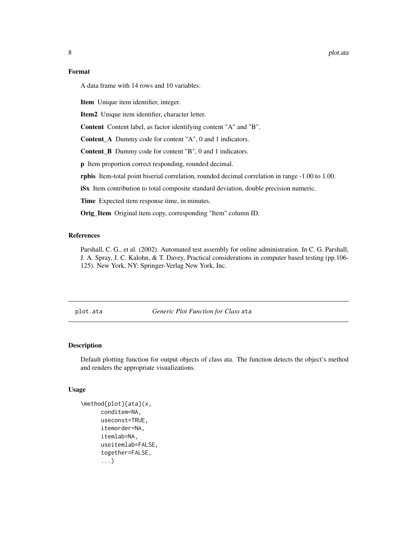#### <span id="page-7-0"></span>8 plot.ata

#### Format

A data frame with 14 rows and 10 variables:

Item Unique item identifier, integer.

Item2 Unique item identifier, character letter.

Content Content label, as factor identifying content "A" and "B".

Content A Dummy code for content "A", 0 and 1 indicators.

Content\_B Dummy code for content "B", 0 and 1 indicators.

p Item proportion correct responding, rounded decimal.

rpbis Item-total point biserial correlation, rounded decimal correlation in range -1.00 to 1.00.

iSx Item contribution to total composite standard deviation, double precision numeric.

Time Expected item response time, in minutes.

Orig\_Item Original item copy, corresponding "Item" column ID.

## References

Parshall, C. G., et al. (2002). Automated test assembly for online administration. In C. G. Parshall, J. A. Spray, J. C. Kalohn, & T. Davey, Practical considerations in computer based testing (pp.106- 125). New York, NY: Springer-Verlag New York, Inc.

plot.ata *Generic Plot Function for Class* ata

#### Description

Default plotting function for output objects of class ata. The function detects the object's method and renders the appropriate visualizations.

#### Usage

```
\method{plot}{ata}(x,
      conditem=NA,
      useconst=TRUE,
      itemorder=NA,
      itemlab=NA,
      useitemlab=FALSE,
      together=FALSE,
      ...)
```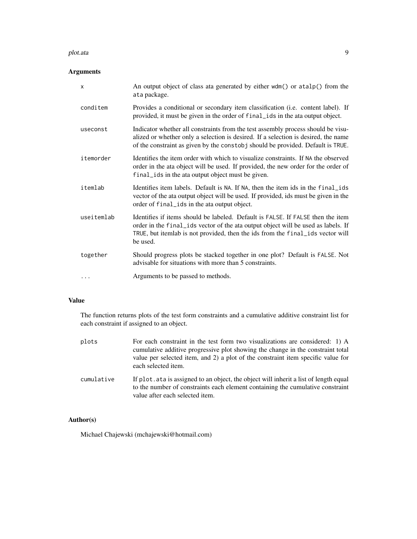#### plot.ata 9

# Arguments

| X          | An output object of class ata generated by either wdm() or atalp() from the<br>ata package.                                                                                                                                                                        |
|------------|--------------------------------------------------------------------------------------------------------------------------------------------------------------------------------------------------------------------------------------------------------------------|
| conditem   | Provides a conditional or secondary item classification (i.e. content label). If<br>provided, it must be given in the order of final ids in the ata output object.                                                                                                 |
| useconst   | Indicator whether all constraints from the test assembly process should be visu-<br>alized or whether only a selection is desired. If a selection is desired, the name<br>of the constraint as given by the constably should be provided. Default is TRUE.         |
| itemorder  | Identifies the item order with which to visualize constraints. If NA the observed<br>order in the ata object will be used. If provided, the new order for the order of<br>final ids in the ata output object must be given.                                        |
| itemlab    | Identifies item labels. Default is NA. If NA, then the item ids in the final ids<br>vector of the ata output object will be used. If provided, ids must be given in the<br>order of final ids in the ata output object.                                            |
| useitemlab | Identifies if items should be labeled. Default is FALSE. If FALSE then the item<br>order in the final ids vector of the ata output object will be used as labels. If<br>TRUE, but itemlab is not provided, then the ids from the final ids vector will<br>be used. |
| together   | Should progress plots be stacked together in one plot? Default is FALSE. Not<br>advisable for situations with more than 5 constraints.                                                                                                                             |
| .          | Arguments to be passed to methods.                                                                                                                                                                                                                                 |

# Value

The function returns plots of the test form constraints and a cumulative additive constraint list for each constraint if assigned to an object.

| plots      | For each constraint in the test form two visualizations are considered: 1) A<br>cumulative additive progressive plot showing the change in the constraint total<br>value per selected item, and 2) a plot of the constraint item specific value for<br>each selected item. |
|------------|----------------------------------------------------------------------------------------------------------------------------------------------------------------------------------------------------------------------------------------------------------------------------|
| cumulative | If plot, at a is assigned to an object, the object will inherit a list of length equal<br>to the number of constraints each element containing the cumulative constraint<br>value after each selected item.                                                                |

# Author(s)

Michael Chajewski (mchajewski@hotmail.com)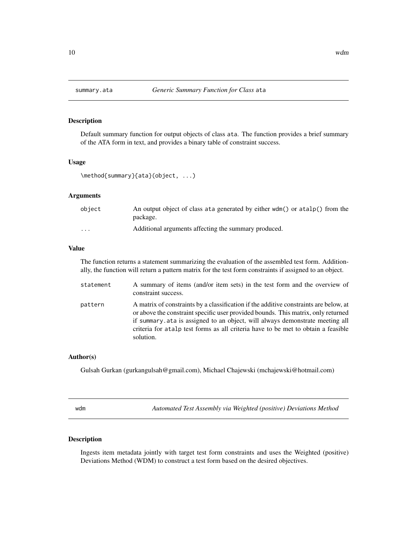#### <span id="page-9-0"></span>Description

Default summary function for output objects of class ata. The function provides a brief summary of the ATA form in text, and provides a binary table of constraint success.

#### Usage

```
\method{summary}{ata}(object, ...)
```
#### Arguments

| object   | An output object of class at a generated by either wdm() or atalp() from the |
|----------|------------------------------------------------------------------------------|
|          | package.                                                                     |
| $\cdots$ | Additional arguments affecting the summary produced.                         |

#### Value

The function returns a statement summarizing the evaluation of the assembled test form. Additionally, the function will return a pattern matrix for the test form constraints if assigned to an object.

| statement | A summary of items (and/or item sets) in the test form and the overview of<br>constraint success.                                                                                                                                                                                                                                                             |
|-----------|---------------------------------------------------------------------------------------------------------------------------------------------------------------------------------------------------------------------------------------------------------------------------------------------------------------------------------------------------------------|
| pattern   | A matrix of constraints by a classification if the additive constraints are below, at<br>or above the constraint specific user provided bounds. This matrix, only returned<br>if summary at a is assigned to an object, will always demonstrate meeting all<br>criteria for atalp test forms as all criteria have to be met to obtain a feasible<br>solution. |

#### Author(s)

Gulsah Gurkan (gurkangulsah@gmail.com), Michael Chajewski (mchajewski@hotmail.com)

wdm *Automated Test Assembly via Weighted (positive) Deviations Method*

#### Description

Ingests item metadata jointly with target test form constraints and uses the Weighted (positive) Deviations Method (WDM) to construct a test form based on the desired objectives.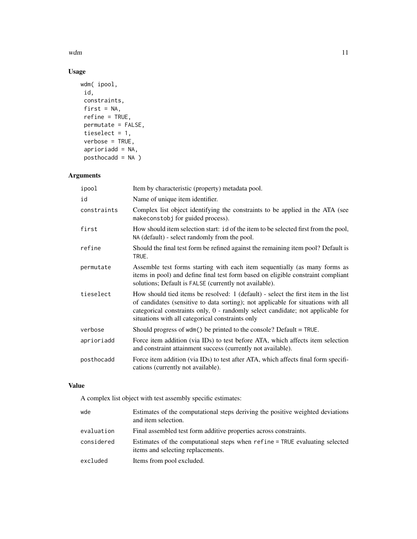$wdm$  11

# Usage

```
wdm( ipool,
id,
constraints,
first = NA,
refine = TRUE,
permutate = FALSE,
tieselect = 1,
verbose = TRUE,
aprioriadd = NA,
posthocadd = NA)
```
# Arguments

| ipool       | Item by characteristic (property) metadata pool.                                                                                                                                                                                                                                                               |
|-------------|----------------------------------------------------------------------------------------------------------------------------------------------------------------------------------------------------------------------------------------------------------------------------------------------------------------|
| id          | Name of unique item identifier.                                                                                                                                                                                                                                                                                |
| constraints | Complex list object identifying the constraints to be applied in the ATA (see<br>makeconstobj for guided process).                                                                                                                                                                                             |
| first       | How should item selection start: id of the item to be selected first from the pool,<br>NA (default) - select randomly from the pool.                                                                                                                                                                           |
| refine      | Should the final test form be refined against the remaining item pool? Default is<br>TRUE.                                                                                                                                                                                                                     |
| permutate   | Assemble test forms starting with each item sequentially (as many forms as<br>items in pool) and define final test form based on eligible constraint compliant<br>solutions; Default is FALSE (currently not available).                                                                                       |
| tieselect   | How should tied items be resolved: 1 (default) - select the first item in the list<br>of candidates (sensitive to data sorting); not applicable for situations with all<br>categorical constraints only, 0 - randomly select candidate; not applicable for<br>situations with all categorical constraints only |
| verbose     | Should progress of $wdm()$ be printed to the console? Default = TRUE.                                                                                                                                                                                                                                          |
| aprioriadd  | Force item addition (via IDs) to test before ATA, which affects item selection<br>and constraint attainment success (currently not available).                                                                                                                                                                 |
| posthocadd  | Force item addition (via IDs) to test after ATA, which affects final form specifi-<br>cations (currently not available).                                                                                                                                                                                       |

# Value

A complex list object with test assembly specific estimates:

| wde        | Estimates of the computational steps deriving the positive weighted deviations<br>and item selection.            |
|------------|------------------------------------------------------------------------------------------------------------------|
| evaluation | Final assembled test form additive properties across constraints.                                                |
| considered | Estimates of the computational steps when refine = TRUE evaluating selected<br>items and selecting replacements. |
| excluded   | Items from pool excluded.                                                                                        |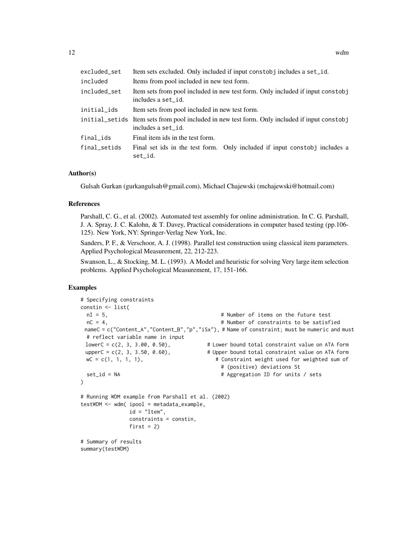| excluded_set | Item sets excluded. Only included if input constobj includes a set_id.                                              |
|--------------|---------------------------------------------------------------------------------------------------------------------|
| included     | Items from pool included in new test form.                                                                          |
| included_set | Item sets from pool included in new test form. Only included if input constobj<br>includes a set_id.                |
| initial_ids  | Item sets from pool included in new test form.                                                                      |
|              | initial_setids Item sets from pool included in new test form. Only included if input constobj<br>includes a set_id. |
| final_ids    | Final item ids in the test form.                                                                                    |
| final_setids | Final set ids in the test form. Only included if input constobe includes a<br>set_id.                               |

#### Author(s)

Gulsah Gurkan (gurkangulsah@gmail.com), Michael Chajewski (mchajewski@hotmail.com)

#### References

Parshall, C. G., et al. (2002). Automated test assembly for online administration. In C. G. Parshall, J. A. Spray, J. C. Kalohn, & T. Davey, Practical considerations in computer based testing (pp.106- 125). New York, NY: Springer-Verlag New York, Inc.

Sanders, P. F., & Verschoor, A. J. (1998). Parallel test construction using classical item parameters. Applied Psychological Measurement, 22, 212-223.

Swanson, L., & Stocking, M. L. (1993). A Model and heuristic for solving Very large item selection problems. Applied Psychological Measurement, 17, 151-166.

### Examples

```
# Specifying constraints
constin <- list(
 nI = 5, # Number of items on the future test
 nC = 4, # Number of constraints to be satisfied
 nameC = c("Content_A","Content_B","p","iSx"), # Name of constraint; must be numeric and must
 # reflect variable name in input
 lowerC = c(2, 3, 3.00, 0.50), # Lower bound total constraint value on ATA form
 upperC = c(2, 3, 3.50, 0.60), \text{wC = c(1, 1, 1, 1)}, \text{w = c(1, 2, 3, 3, 50)} # Constraint weight used for weighted sum of
                                         # Constraint weight used for weighted sum of
                                          # (positive) deviations St
 set_id = NA \# Aggregation ID for units / sets
)
# Running WDM example from Parshall et al. (2002)
testWDM <- wdm( ipool = metadata_example,
              id = "Item",constraints = constin,
              first = 2)
# Summary of results
summary(testWDM)
```